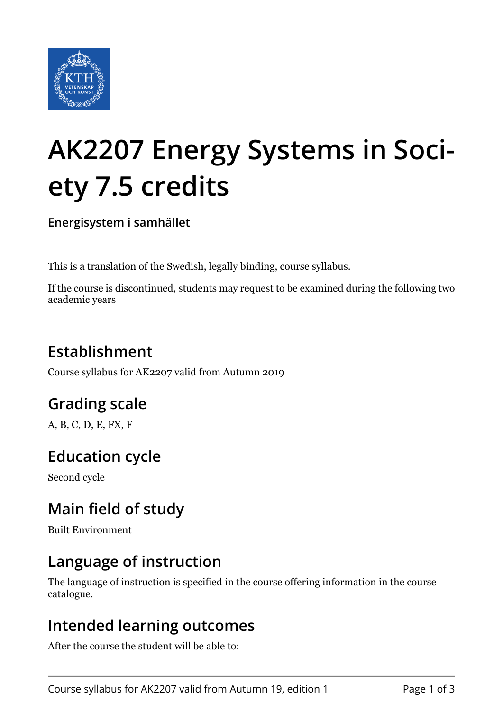

# **AK2207 Energy Systems in Society 7.5 credits**

**Energisystem i samhället**

This is a translation of the Swedish, legally binding, course syllabus.

If the course is discontinued, students may request to be examined during the following two academic years

# **Establishment**

Course syllabus for AK2207 valid from Autumn 2019

## **Grading scale**

A, B, C, D, E, FX, F

## **Education cycle**

Second cycle

## **Main field of study**

Built Environment

### **Language of instruction**

The language of instruction is specified in the course offering information in the course catalogue.

#### **Intended learning outcomes**

After the course the student will be able to: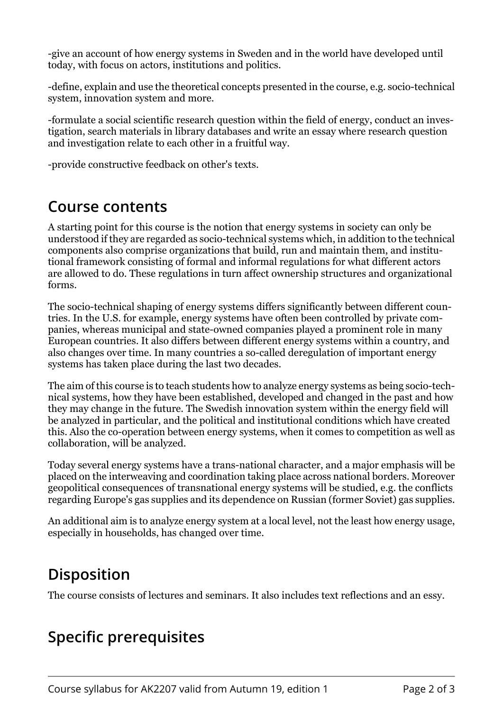-give an account of how energy systems in Sweden and in the world have developed until today, with focus on actors, institutions and politics.

-define, explain and use the theoretical concepts presented in the course, e.g. socio-technical system, innovation system and more.

-formulate a social scientific research question within the field of energy, conduct an investigation, search materials in library databases and write an essay where research question and investigation relate to each other in a fruitful way.

-provide constructive feedback on other's texts.

#### **Course contents**

A starting point for this course is the notion that energy systems in society can only be understood if they are regarded as socio-technical systems which, in addition to the technical components also comprise organizations that build, run and maintain them, and institutional framework consisting of formal and informal regulations for what different actors are allowed to do. These regulations in turn affect ownership structures and organizational forms.

The socio-technical shaping of energy systems differs significantly between different countries. In the U.S. for example, energy systems have often been controlled by private companies, whereas municipal and state-owned companies played a prominent role in many European countries. It also differs between different energy systems within a country, and also changes over time. In many countries a so-called deregulation of important energy systems has taken place during the last two decades.

The aim of this course is to teach students how to analyze energy systems as being socio-technical systems, how they have been established, developed and changed in the past and how they may change in the future. The Swedish innovation system within the energy field will be analyzed in particular, and the political and institutional conditions which have created this. Also the co-operation between energy systems, when it comes to competition as well as collaboration, will be analyzed.

Today several energy systems have a trans-national character, and a major emphasis will be placed on the interweaving and coordination taking place across national borders. Moreover geopolitical consequences of transnational energy systems will be studied, e.g. the conflicts regarding Europe's gas supplies and its dependence on Russian (former Soviet) gas supplies.

An additional aim is to analyze energy system at a local level, not the least how energy usage, especially in households, has changed over time.

## **Disposition**

The course consists of lectures and seminars. It also includes text reflections and an essy.

## **Specific prerequisites**